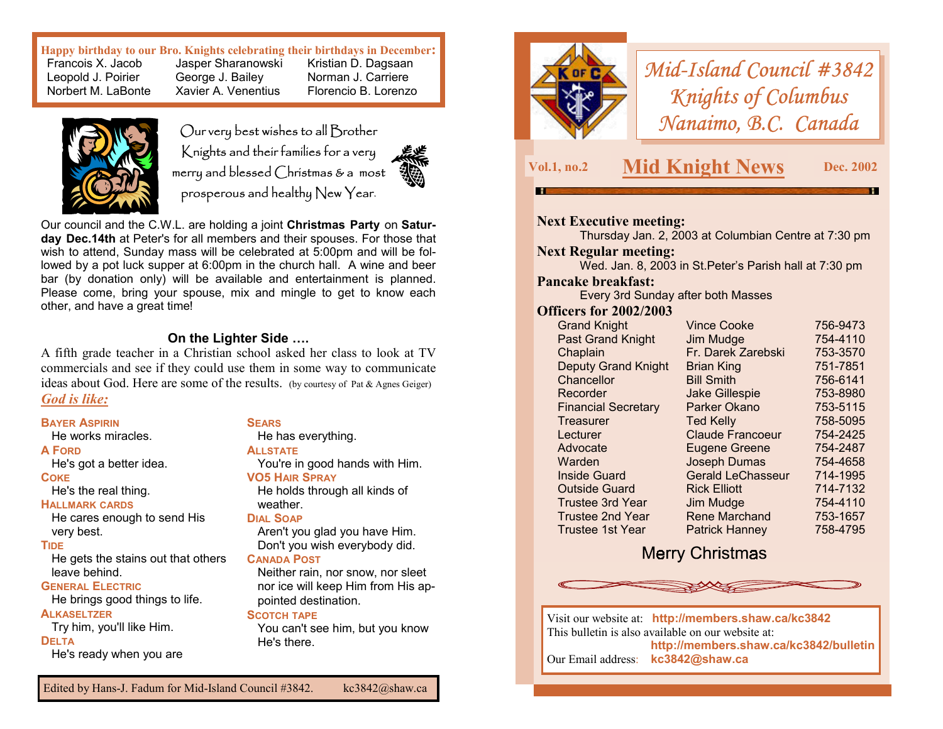**Happy birthday to our Bro. Knights celebrating their birthdays in December:** 

 Francois X. Jacob Jasper Sharanowski Kristian D. Dagsaan Leopold J. Poirier George J. Bailey Norman J. Carriere Norbert M. LaBonte Xavier A. Venentius Florencio B. Lorenzo



Our very best wishes to all Brother Knights and their families for a very merry and blessed Christmas & a most prosperous and healthy New Year.



Our council and the C.W.L. are holding a joint **Christmas Party** on **Saturday Dec.14th** at Peter's for all members and their spouses. For those that wish to attend, Sunday mass will be celebrated at 5:00pm and will be followed by a pot luck supper at 6:00pm in the church hall. A wine and beer bar (by donation only) will be available and entertainment is planned. Please come, bring your spouse, mix and mingle to get to know each other, and have a great time!

### **On the Lighter Side ….**

A fifth grade teacher in a Christian school asked her class to look at TV commercials and see if they could use them in some way to communicate ideas about God. Here are some of the results. (by courtesy of Pat & Agnes Geiger) *God is like:*

### **BAYER ASPIRIN**

He works miracles.

### **A FORD**

He's got a better idea.

### **COKE**

He's the real thing.

### **HALLMARK CARDS**

He cares enough to send His very best.

### **TIDE**

He gets the stains out that others leave behind.

### **GENERAL ELECTRIC**

He brings good things to life.

### **ALKASELTZER**

Try him, you'll like Him. **DELTA**He's ready when you are

### **SEARS**

# He has everything.

**ALLSTATE**You're in good hands with Him.

### **VO5 HAIR SPRAY**

He holds through all kinds of weather.

### **DIAL SOAP**

Aren't you glad you have Him. Don't you wish everybody did.

### **CANADA POST**

Neither rain, nor snow, nor sleet nor ice will keep Him from His appointed destination.

### **SCOTCH TAPE**

You can't see him, but you know He's there.



# *Mid-Island Council #3842 Knights of Columbus Nanaimo, B.C. Canada*

## **Vol.1, no.2 Mid Knight News Dec. 2002**

### **Next Executive meeting:**

Thursday Jan. 2, 2003 at Columbian Centre at 7:30 pm **Next Regular meeting:** 

Wed. Jan. 8, 2003 in St.Peter's Parish hall at 7:30 pm

### **Pancake breakfast:**

Every 3rd Sunday after both Masses

### **Officers for 2002/2003**

| <b>Grand Knight</b>        | <b>Vince Cooke</b>       | 756-9473 |
|----------------------------|--------------------------|----------|
| <b>Past Grand Knight</b>   | Jim Mudge                | 754-4110 |
| Chaplain                   | Fr. Darek Zarebski       | 753-3570 |
| <b>Deputy Grand Knight</b> | <b>Brian King</b>        | 751-7851 |
| Chancellor                 | <b>Bill Smith</b>        | 756-6141 |
| Recorder                   | <b>Jake Gillespie</b>    | 753-8980 |
| <b>Financial Secretary</b> | Parker Okano             | 753-5115 |
| Treasurer                  | <b>Ted Kelly</b>         | 758-5095 |
| Lecturer                   | <b>Claude Francoeur</b>  | 754-2425 |
| Advocate                   | <b>Eugene Greene</b>     | 754-2487 |
| Warden                     | <b>Joseph Dumas</b>      | 754-4658 |
| Inside Guard               | <b>Gerald LeChasseur</b> | 714-1995 |
| <b>Outside Guard</b>       | <b>Rick Elliott</b>      | 714-7132 |
| <b>Trustee 3rd Year</b>    | Jim Mudge                | 754-4110 |
| <b>Trustee 2nd Year</b>    | <b>Rene Marchand</b>     | 753-1657 |
| Trustee 1st Year           | <b>Patrick Hanney</b>    | 758-4795 |

## **Merry Christmas**



Visit our website at: **http://members.shaw.ca/kc3842**  This bulletin is also available on our website at: **http://members.shaw.ca/kc3842/bulletin**  Our Email address: **kc3842@shaw.ca**